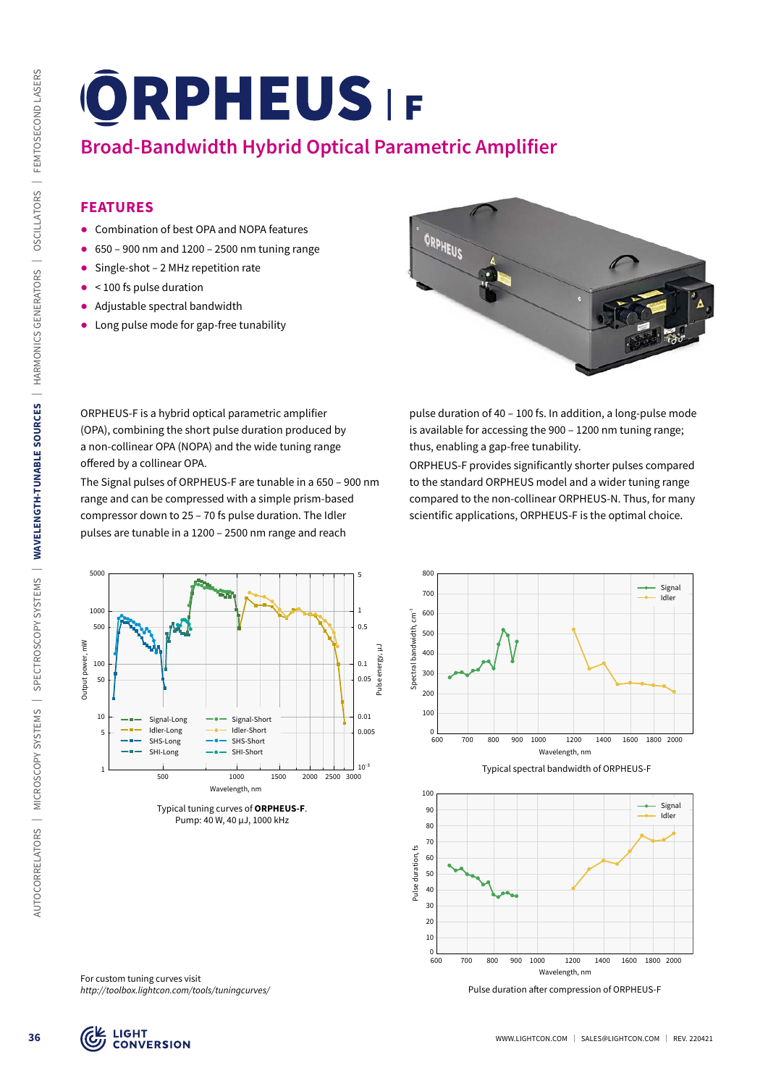# **Broad-Bandwidth Hybrid Optical Parametric Amplifier**

### **FEATURES**

- ᰋ Combination of best OPA and NOPA features
- $\bullet$  650 900 nm and 1200 2500 nm tuning range
- Single-shot 2 MHz repetition rate
- $\bullet$  < 100 fs pulse duration
- ᰋ Adjustable spectral bandwidth
- ᰋ Long pulse mode for gap-free tunability



ORPHEUS-F is a hybrid optical parametric amplifier (OPA), combining the short pulse duration produced by a non-collinear OPA (NOPA) and the wide tuning range offered by a collinear OPA.

The Signal pulses of ORPHEUS-F are tunable in a 650 – 900 nm range and can be compressed with a simple prism-based compressor down to 25 – 70 fs pulse duration. The Idler pulses are tunable in a 1200 – 2500 nm range and reach



ORPHEUS-F provides significantly shorter pulses compared to the standard ORPHEUS model and a wider tuning range compared to the non-collinear ORPHEUS-N. Thus, for many scientific applications, ORPHEUS-F is the optimal choice.

> Signal Idler



Typical tuning curves of **ORPHEUS-F**. Pump: 40 W, 40 µJ, 1000 kHz

Typical spectral bandwidth of ORPHEUS-F Wavelength, nm

Spectral bandwidth, cm<sup>-1</sup>



600 700 800 900 1000 1200 1400 1600 1800 2000

For custom tuning curves visit *http://toolbox.lightcon.com/tools/tuningcurves/*